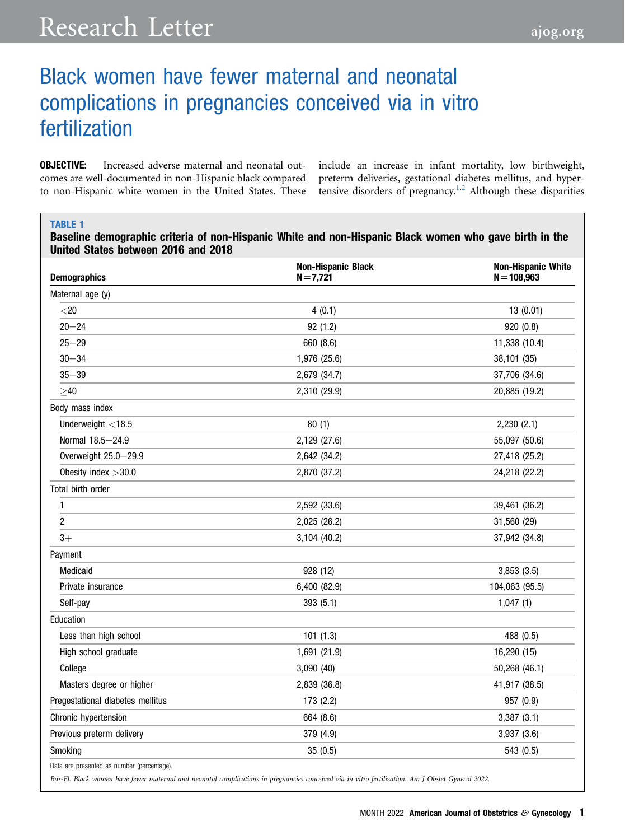# Black women have fewer maternal and neonatal complications in pregnancies conceived via in vitro fertilization

**OBJECTIVE:** Increased adverse maternal and neonatal outcomes are well-documented in non-Hispanic black compared to non-Hispanic white women in the United States. These

include an increase in infant mortality, low birthweight, preterm deliveries, gestational diabetes mellitus, and hyper-tensive disorders of pregnancy.<sup>[1,](#page-2-0)[2](#page-2-1)</sup> Although these disparities

#### <span id="page-0-0"></span>TABLE 1

Baseline demographic criteria of non-Hispanic White and non-Hispanic Black women who gave birth in the United States between 2016 and 2018

| <b>Demographics</b>                        | <b>Non-Hispanic Black</b><br>$N = 7,721$ | <b>Non-Hispanic White</b><br>$N = 108,963$ |
|--------------------------------------------|------------------------------------------|--------------------------------------------|
| Maternal age (y)                           |                                          |                                            |
| $<$ 20                                     | 4(0.1)                                   | 13(0.01)                                   |
| $20 - 24$                                  | 92 (1.2)                                 | 920 (0.8)                                  |
| $25 - 29$                                  | 660 (8.6)                                | 11,338 (10.4)                              |
| $30 - 34$                                  | 1,976 (25.6)                             | 38,101 (35)                                |
| $35 - 39$                                  | 2,679 (34.7)                             | 37,706 (34.6)                              |
| $\geq 40$                                  | 2,310 (29.9)                             | 20,885 (19.2)                              |
| Body mass index                            |                                          |                                            |
| Underweight $<$ 18.5                       | 80(1)                                    | 2,230(2.1)                                 |
| Normal 18.5-24.9                           | 2,129 (27.6)                             | 55,097 (50.6)                              |
| Overweight 25.0-29.9                       | 2,642 (34.2)                             | 27,418 (25.2)                              |
| Obesity index $>30.0$                      | 2,870 (37.2)                             | 24,218 (22.2)                              |
| Total birth order                          |                                          |                                            |
| 1                                          | 2,592 (33.6)                             | 39,461 (36.2)                              |
| $\overline{c}$                             | 2,025 (26.2)                             | 31,560 (29)                                |
| $3+$                                       | 3,104 (40.2)                             | 37,942 (34.8)                              |
| Payment                                    |                                          |                                            |
| Medicaid                                   | 928 (12)                                 | 3,853(3.5)                                 |
| Private insurance                          | 6,400 (82.9)                             | 104,063 (95.5)                             |
| Self-pay                                   | 393 (5.1)                                | 1,047(1)                                   |
| Education                                  |                                          |                                            |
| Less than high school                      | 101(1.3)                                 | 488 (0.5)                                  |
| High school graduate                       | 1,691 (21.9)                             | 16,290 (15)                                |
| College                                    | 3,090 (40)                               | 50,268 (46.1)                              |
| Masters degree or higher                   | 2,839 (36.8)                             | 41,917 (38.5)                              |
| Pregestational diabetes mellitus           | 173 (2.2)                                | 957 (0.9)                                  |
| Chronic hypertension                       | 664 (8.6)                                | 3,387(3.1)                                 |
| Previous preterm delivery                  | 379 (4.9)                                | 3,937 (3.6)                                |
| Smoking                                    | 35(0.5)                                  | 543 (0.5)                                  |
| Data are presented as number (percentage). |                                          |                                            |

Bar-El. Black women have fewer maternal and neonatal complications in pregnancies conceived via in vitro fertilization. Am J Obstet Gynecol 2022.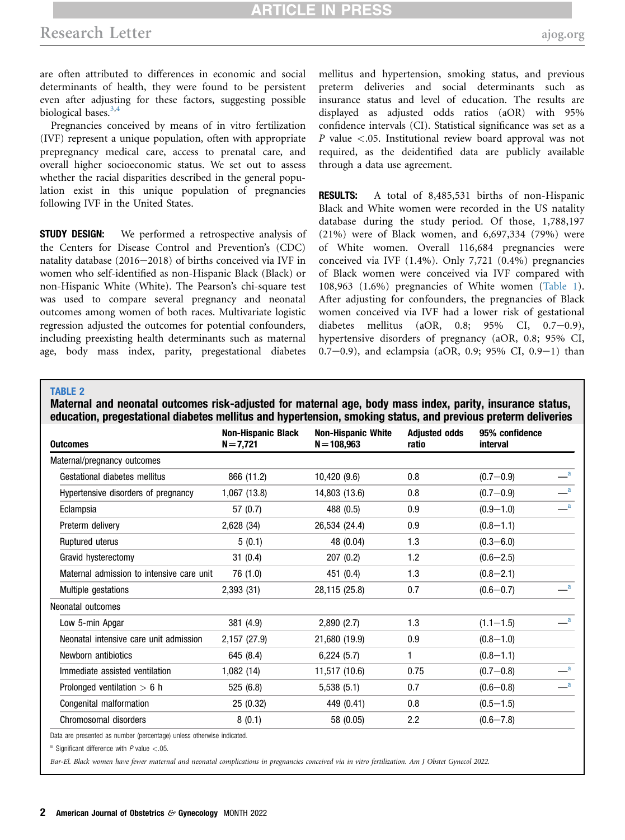## **RTICLE IN PR**

are often attributed to differences in economic and social determinants of health, they were found to be persistent even after adjusting for these factors, suggesting possible biological bases. $3,4$  $3,4$  $3,4$ 

Pregnancies conceived by means of in vitro fertilization (IVF) represent a unique population, often with appropriate prepregnancy medical care, access to prenatal care, and overall higher socioeconomic status. We set out to assess whether the racial disparities described in the general population exist in this unique population of pregnancies following IVF in the United States.

**STUDY DESIGN:** We performed a retrospective analysis of the Centers for Disease Control and Prevention's (CDC) natality database  $(2016-2018)$  of births conceived via IVF in women who self-identified as non-Hispanic Black (Black) or non-Hispanic White (White). The Pearson's chi-square test was used to compare several pregnancy and neonatal outcomes among women of both races. Multivariate logistic regression adjusted the outcomes for potential confounders, including preexisting health determinants such as maternal age, body mass index, parity, pregestational diabetes mellitus and hypertension, smoking status, and previous preterm deliveries and social determinants such as insurance status and level of education. The results are displayed as adjusted odds ratios (aOR) with 95% confidence intervals (CI). Statistical significance was set as a P value <.05. Institutional review board approval was not required, as the deidentified data are publicly available through a data use agreement.

RESULTS: A total of 8,485,531 births of non-Hispanic Black and White women were recorded in the US natality database during the study period. Of those, 1,788,197 (21%) were of Black women, and 6,697,334 (79%) were of White women. Overall 116,684 pregnancies were conceived via IVF (1.4%). Only 7,721 (0.4%) pregnancies of Black women were conceived via IVF compared with 108,963 (1.6%) pregnancies of White women ([Table 1\)](#page-0-0). After adjusting for confounders, the pregnancies of Black women conceived via IVF had a lower risk of gestational diabetes mellitus (aOR,  $0.8$ ; 95% CI,  $0.7-0.9$ ), hypertensive disorders of pregnancy (aOR, 0.8; 95% CI,  $0.7-0.9$ ), and eclampsia (aOR, 0.9; 95% CI, 0.9-1) than

### <span id="page-1-1"></span>TABLE 2

Maternal and neonatal outcomes risk-adjusted for maternal age, body mass index, parity, insurance status, education, pregestational diabetes mellitus and hypertension, smoking status, and previous preterm deliveries

| <b>Outcomes</b>                           | <b>Non-Hispanic Black</b><br>$N = 7,721$ | <b>Non-Hispanic White</b><br>$N = 108,963$ | <b>Adjusted odds</b><br>ratio | 95% confidence<br>interval |                          |
|-------------------------------------------|------------------------------------------|--------------------------------------------|-------------------------------|----------------------------|--------------------------|
| Maternal/pregnancy outcomes               |                                          |                                            |                               |                            |                          |
| Gestational diabetes mellitus             | 866 (11.2)                               | 10,420 (9.6)                               | 0.8                           | $(0.7 - 0.9)$              | $\mathbf{a}$             |
| Hypertensive disorders of pregnancy       | 1,067 (13.8)                             | 14,803 (13.6)                              | 0.8                           | $(0.7 - 0.9)$              | $\mathbf{a}$             |
| Eclampsia                                 | 57 (0.7)                                 | 488 (0.5)                                  | 0.9                           | $(0.9 - 1.0)$              | $\mathbf{a}$             |
| Preterm delivery                          | 2,628 (34)                               | 26,534 (24.4)                              | 0.9                           | $(0.8 - 1.1)$              |                          |
| Ruptured uterus                           | 5(0.1)                                   | 48 (0.04)                                  | 1.3                           | $(0.3 - 6.0)$              |                          |
| Gravid hysterectomy                       | 31(0.4)                                  | 207(0.2)                                   | 1.2                           | $(0.6 - 2.5)$              |                          |
| Maternal admission to intensive care unit | 76 (1.0)                                 | 451 (0.4)                                  | 1.3                           | $(0.8 - 2.1)$              |                          |
| Multiple gestations                       | 2,393 (31)                               | 28,115 (25.8)                              | 0.7                           | $(0.6 - 0.7)$              | $\mathbf{a}$             |
| Neonatal outcomes                         |                                          |                                            |                               |                            |                          |
| Low 5-min Apgar                           | 381 (4.9)                                | 2,890(2.7)                                 | 1.3                           | $(1.1 - 1.5)$              | $\overline{\mathbf{a}}$  |
| Neonatal intensive care unit admission    | 2,157 (27.9)                             | 21,680 (19.9)                              | 0.9                           | $(0.8 - 1.0)$              |                          |
| Newborn antibiotics                       | 645 (8.4)                                | 6,224(5.7)                                 | 1                             | $(0.8 - 1.1)$              |                          |
| Immediate assisted ventilation            | 1,082(14)                                | 11,517 (10.6)                              | 0.75                          | $(0.7 - 0.8)$              | $\overline{\phantom{a}}$ |
| Prolonged ventilation $> 6$ h             | 525 (6.8)                                | 5,538(5.1)                                 | 0.7                           | $(0.6 - 0.8)$              | $\_\_a$                  |
| Congenital malformation                   | 25(0.32)                                 | 449 (0.41)                                 | 0.8                           | $(0.5 - 1.5)$              |                          |
| Chromosomal disorders                     | 8(0.1)                                   | 58 (0.05)                                  | $2.2\phantom{0}$              | $(0.6 - 7.8)$              |                          |

Data are presented as number (percentage) unless otherwise indicated.

<span id="page-1-0"></span> $^{\text{a}}$  Significant difference with P value <.05.

Bar-El. Black women have fewer maternal and neonatal complications in pregnancies conceived via in vitro fertilization. Am J Obstet Gynecol 2022.